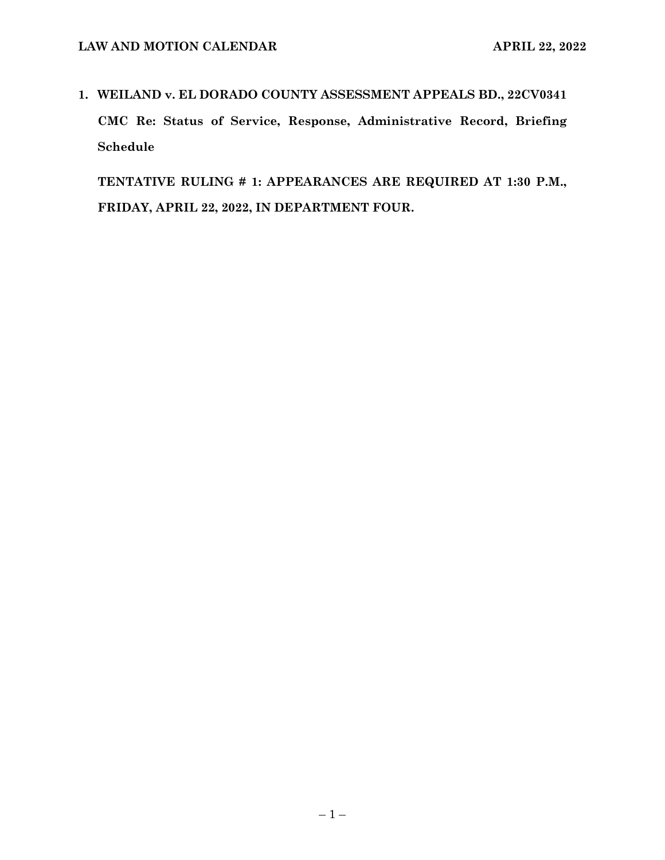**1. WEILAND v. EL DORADO COUNTY ASSESSMENT APPEALS BD., 22CV0341 CMC Re: Status of Service, Response, Administrative Record, Briefing Schedule**

**TENTATIVE RULING # 1: APPEARANCES ARE REQUIRED AT 1:30 P.M., FRIDAY, APRIL 22, 2022, IN DEPARTMENT FOUR.**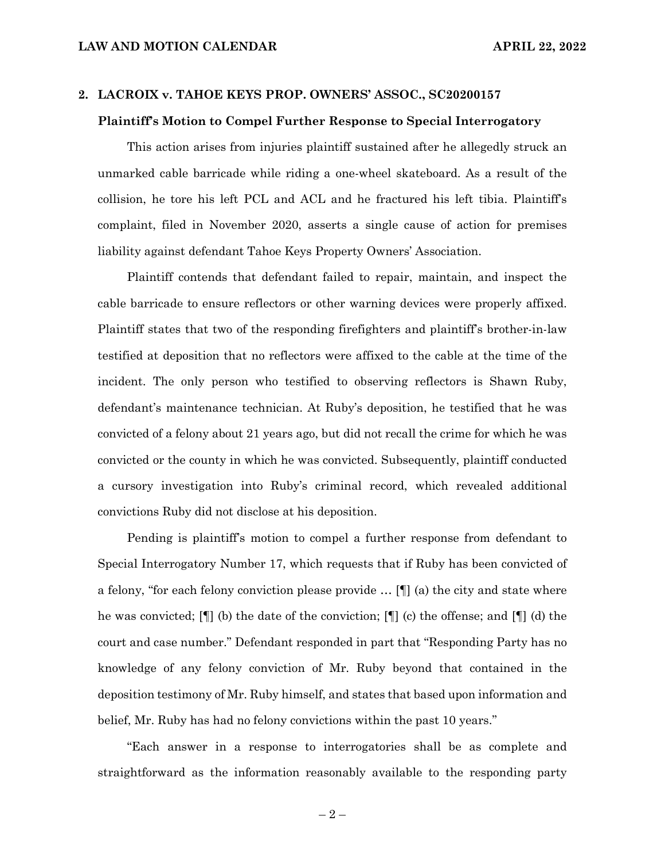#### **2. LACROIX v. TAHOE KEYS PROP. OWNERS' ASSOC., SC20200157**

#### **Plaintiff's Motion to Compel Further Response to Special Interrogatory**

This action arises from injuries plaintiff sustained after he allegedly struck an unmarked cable barricade while riding a one-wheel skateboard. As a result of the collision, he tore his left PCL and ACL and he fractured his left tibia. Plaintiff's complaint, filed in November 2020, asserts a single cause of action for premises liability against defendant Tahoe Keys Property Owners' Association.

Plaintiff contends that defendant failed to repair, maintain, and inspect the cable barricade to ensure reflectors or other warning devices were properly affixed. Plaintiff states that two of the responding firefighters and plaintiff's brother-in-law testified at deposition that no reflectors were affixed to the cable at the time of the incident. The only person who testified to observing reflectors is Shawn Ruby, defendant's maintenance technician. At Ruby's deposition, he testified that he was convicted of a felony about 21 years ago, but did not recall the crime for which he was convicted or the county in which he was convicted. Subsequently, plaintiff conducted a cursory investigation into Ruby's criminal record, which revealed additional convictions Ruby did not disclose at his deposition.

Pending is plaintiff's motion to compel a further response from defendant to Special Interrogatory Number 17, which requests that if Ruby has been convicted of a felony, "for each felony conviction please provide … [¶] (a) the city and state where he was convicted; [¶] (b) the date of the conviction; [¶] (c) the offense; and [¶] (d) the court and case number." Defendant responded in part that "Responding Party has no knowledge of any felony conviction of Mr. Ruby beyond that contained in the deposition testimony of Mr. Ruby himself, and states that based upon information and belief, Mr. Ruby has had no felony convictions within the past 10 years."

"Each answer in a response to interrogatories shall be as complete and straightforward as the information reasonably available to the responding party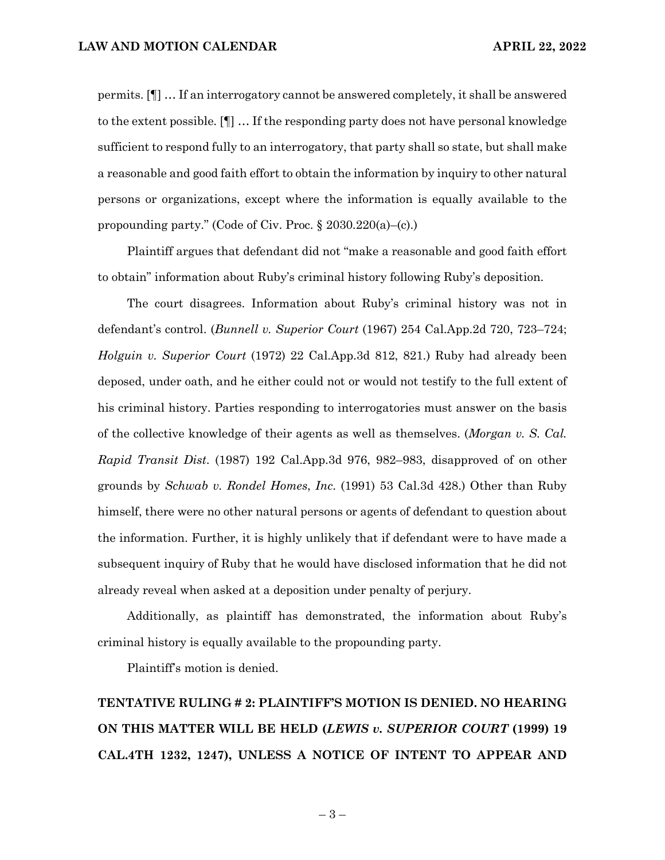permits. [¶] … If an interrogatory cannot be answered completely, it shall be answered to the extent possible. [¶] … If the responding party does not have personal knowledge sufficient to respond fully to an interrogatory, that party shall so state, but shall make a reasonable and good faith effort to obtain the information by inquiry to other natural persons or organizations, except where the information is equally available to the propounding party." (Code of Civ. Proc. § 2030.220(a)–(c).)

Plaintiff argues that defendant did not "make a reasonable and good faith effort to obtain" information about Ruby's criminal history following Ruby's deposition.

The court disagrees. Information about Ruby's criminal history was not in defendant's control. (*Bunnell v. Superior Court* (1967) 254 Cal.App.2d 720, 723–724; *Holguin v. Superior Court* (1972) 22 Cal.App.3d 812, 821.) Ruby had already been deposed, under oath, and he either could not or would not testify to the full extent of his criminal history. Parties responding to interrogatories must answer on the basis of the collective knowledge of their agents as well as themselves. (*Morgan v. S. Cal. Rapid Transit Dist*. (1987) 192 Cal.App.3d 976, 982–983, disapproved of on other grounds by *Schwab v. Rondel Homes*, *Inc*. (1991) 53 Cal.3d 428.) Other than Ruby himself, there were no other natural persons or agents of defendant to question about the information. Further, it is highly unlikely that if defendant were to have made a subsequent inquiry of Ruby that he would have disclosed information that he did not already reveal when asked at a deposition under penalty of perjury.

Additionally, as plaintiff has demonstrated, the information about Ruby's criminal history is equally available to the propounding party.

Plaintiff's motion is denied.

**TENTATIVE RULING # 2: PLAINTIFF'S MOTION IS DENIED. NO HEARING ON THIS MATTER WILL BE HELD (***LEWIS v. SUPERIOR COURT* **(1999) 19 CAL.4TH 1232, 1247), UNLESS A NOTICE OF INTENT TO APPEAR AND** 

– 3 –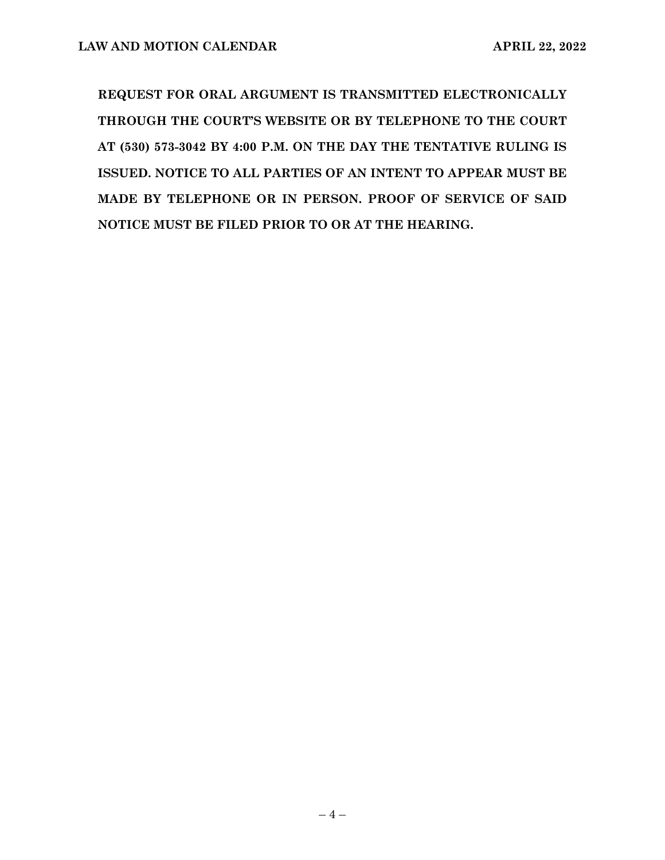**REQUEST FOR ORAL ARGUMENT IS TRANSMITTED ELECTRONICALLY THROUGH THE COURT'S WEBSITE OR BY TELEPHONE TO THE COURT AT (530) 573-3042 BY 4:00 P.M. ON THE DAY THE TENTATIVE RULING IS ISSUED. NOTICE TO ALL PARTIES OF AN INTENT TO APPEAR MUST BE MADE BY TELEPHONE OR IN PERSON. PROOF OF SERVICE OF SAID NOTICE MUST BE FILED PRIOR TO OR AT THE HEARING.**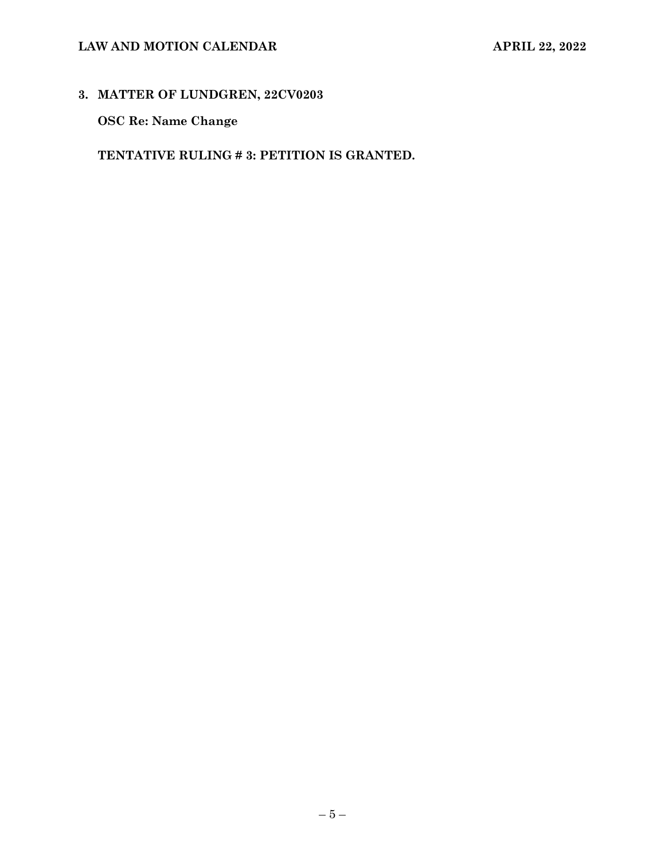### **LAW AND MOTION CALENDAR APRIL 22, 2022**

### **3. MATTER OF LUNDGREN, 22CV0203**

**OSC Re: Name Change**

**TENTATIVE RULING # 3: PETITION IS GRANTED.**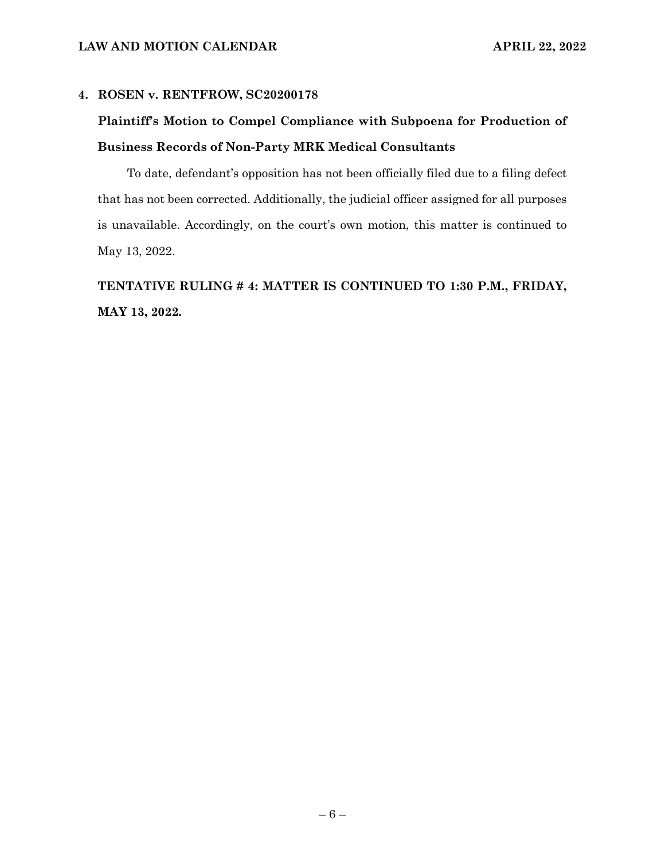#### **4. ROSEN v. RENTFROW, SC20200178**

## **Plaintiff's Motion to Compel Compliance with Subpoena for Production of Business Records of Non-Party MRK Medical Consultants**

To date, defendant's opposition has not been officially filed due to a filing defect that has not been corrected. Additionally, the judicial officer assigned for all purposes is unavailable. Accordingly, on the court's own motion, this matter is continued to May 13, 2022.

## **TENTATIVE RULING # 4: MATTER IS CONTINUED TO 1:30 P.M., FRIDAY, MAY 13, 2022.**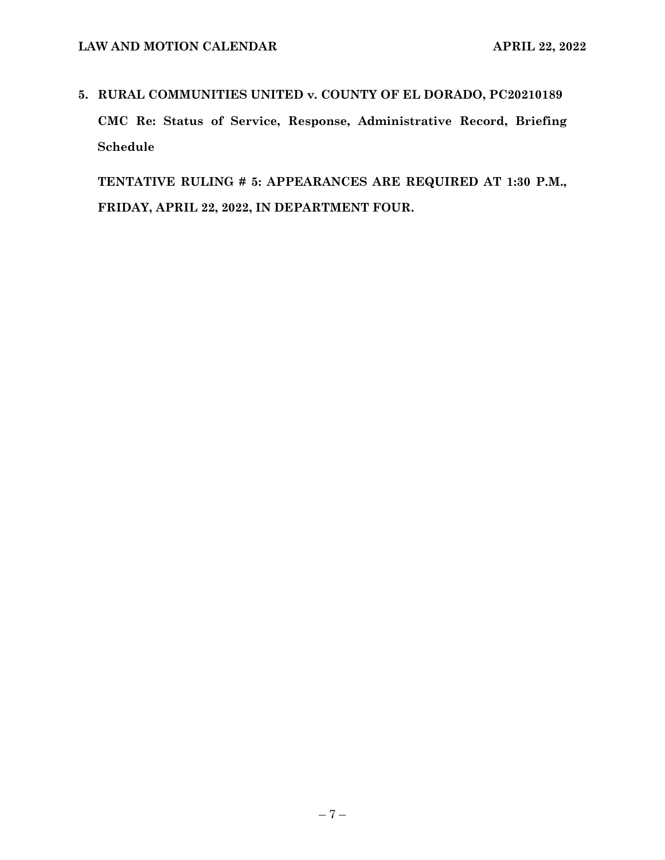# **5. RURAL COMMUNITIES UNITED v. COUNTY OF EL DORADO, PC20210189 CMC Re: Status of Service, Response, Administrative Record, Briefing Schedule**

**TENTATIVE RULING # 5: APPEARANCES ARE REQUIRED AT 1:30 P.M., FRIDAY, APRIL 22, 2022, IN DEPARTMENT FOUR.**